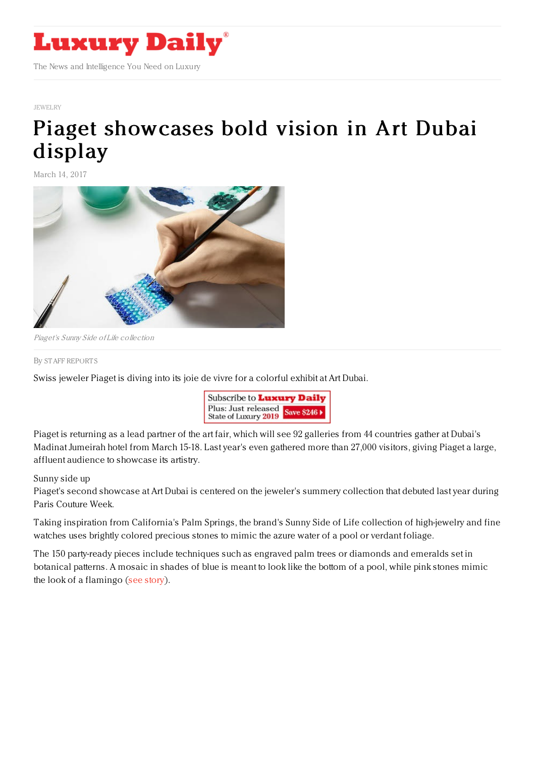

## [JEWELRY](https://www.luxurydaily.com/category/sectors/jewelry/)

## Piaget [showcases](https://www.luxurydaily.com/piaget-showcases-bold-vision-in-art-dubai-display/) bold vision in Art Dubai display

March 14, 2017



Piaget's Sunny Side of Life collection

## By STAFF [REPORT](file:///author/staff-reports) S

Swiss jeweler Piaget is diving into its joie de vivre for a colorful exhibit at Art Dubai.



Piaget is returning as a lead partner of the art fair, which will see 92 galleries from 44 countries gather at Dubai's Madinat Jumeirah hotel from March 15-18. Last year's even gathered more than 27,000 visitors, giving Piaget a large, affluent audience to showcase its artistry.

## Sunny side up

Piaget's second showcase at Art Dubai is centered on the jeweler's summery collection that debuted last year during Paris Couture Week.

Taking inspiration from California's Palm Springs, the brand's Sunny Side of Life collection of high-jewelry and fine watches uses brightly colored precious stones to mimic the azure water of a pool or verdant foliage.

The 150 party-ready pieces include techniques such as engraved palm trees or diamonds and emeralds set in botanical patterns. A mosaic in shades of blue is meant to look like the bottom of a pool, while pink stones mimic the look of a flamingo (see [story](https://www.luxurydaily.com/piaget-uses-summer-as-muse-for-festive-collection/)).